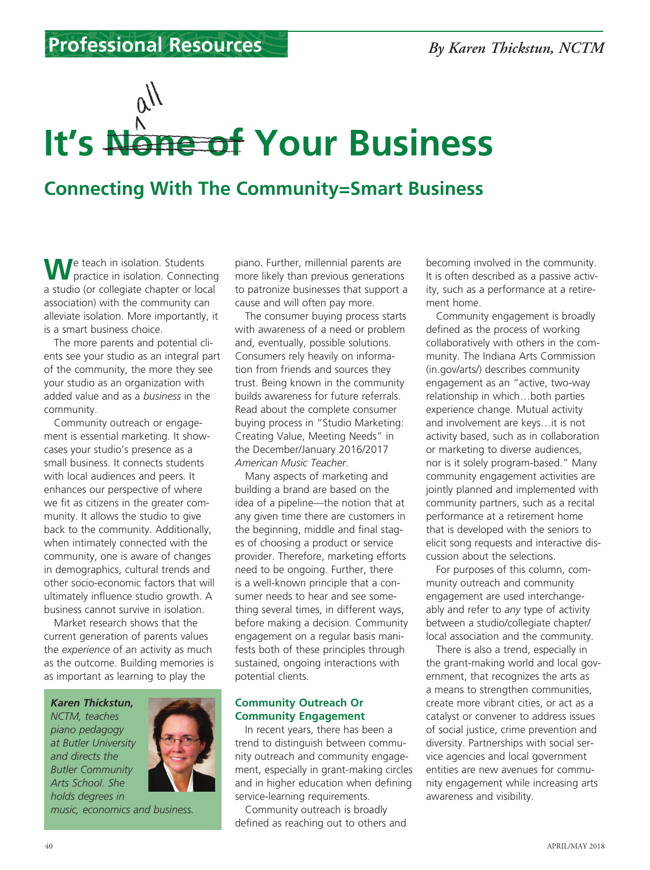## **It's None of Your Business**

## **Connecting With The Community=Smart Business**

We teach in isolation. Students<br>
practice in isolation. Connecting a studio (or collegiate chapter or local association) with the community can alleviate isolation. More importantly, it is a smart business choice.

The more parents and potential clients see your studio as an integral part of the community, the more they see your studio as an organization with added value and as a *business* in the community.

Community outreach or engagement is essential marketing. It showcases your studio's presence as a small business. It connects students with local audiences and peers. It enhances our perspective of where we fit as citizens in the greater community. It allows the studio to give back to the community. Additionally, when intimately connected with the community, one is aware of changes in demographics, cultural trends and other socio-economic factors that will ultimately influence studio growth. A business cannot survive in isolation.

Market research shows that the current generation of parents values the *experience* of an activity as much as the outcome. Building memories is as important as learning to play the

*NCTM, teaches piano pedagogy at Butler University and directs the Butler Community Arts School. She holds degrees in* 

*Karen Thickstun,* 



*music, economics and business.*

piano. Further, millennial parents are more likely than previous generations to patronize businesses that support a cause and will often pay more.

The consumer buying process starts with awareness of a need or problem and, eventually, possible solutions. Consumers rely heavily on information from friends and sources they trust. Being known in the community builds awareness for future referrals. Read about the complete consumer buying process in "Studio Marketing: Creating Value, Meeting Needs" in the December/January 2016/2017 *American Music Teacher*.

Many aspects of marketing and building a brand are based on the idea of a pipeline—the notion that at any given time there are customers in the beginning, middle and final stages of choosing a product or service provider. Therefore, marketing efforts need to be ongoing. Further, there is a well-known principle that a consumer needs to hear and see something several times, in different ways, before making a decision. Community engagement on a regular basis manifests both of these principles through sustained, ongoing interactions with potential clients.

## **Community Outreach Or Community Engagement**

In recent years, there has been a trend to distinguish between community outreach and community engagement, especially in grant-making circles and in higher education when defining service-learning requirements.

Community outreach is broadly defined as reaching out to others and

becoming involved in the community. It is often described as a passive activity, such as a performance at a retirement home.

Community engagement is broadly defined as the process of working collaboratively with others in the community. The Indiana Arts Commission (in.gov/arts/) describes community engagement as an "active, two-way relationship in which…both parties experience change. Mutual activity and involvement are keys…it is not activity based, such as in collaboration or marketing to diverse audiences, nor is it solely program-based." Many community engagement activities are jointly planned and implemented with community partners, such as a recital performance at a retirement home that is developed with the seniors to elicit song requests and interactive discussion about the selections.

For purposes of this column, community outreach and community engagement are used interchangeably and refer to *any* type of activity between a studio/collegiate chapter/ local association and the community.

There is also a trend, especially in the grant-making world and local government, that recognizes the arts as a means to strengthen communities, create more vibrant cities, or act as a catalyst or convener to address issues of social justice, crime prevention and diversity. Partnerships with social service agencies and local government entities are new avenues for community engagement while increasing arts awareness and visibility.